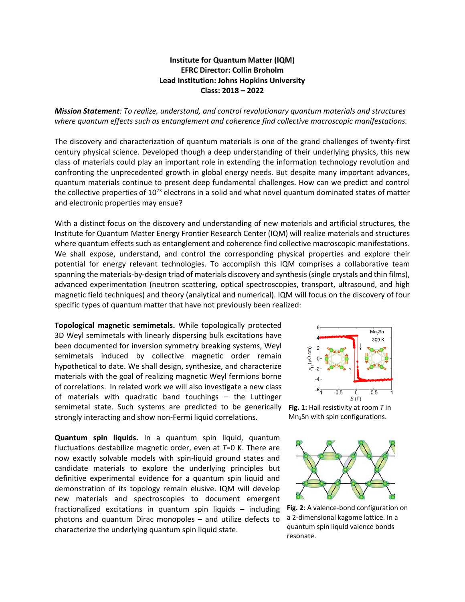## **Institute for Quantum Matter (IQM) EFRC Director: Collin Broholm Lead Institution: Johns Hopkins University Class: 2018 – 2022**

*Mission Statement: To realize, understand, and control revolutionary quantum materials and structures where quantum effects such as entanglement and coherence find collective macroscopic manifestations.* 

The discovery and characterization of quantum materials is one of the grand challenges of twenty-first century physical science. Developed though a deep understanding of their underlying physics, this new class of materials could play an important role in extending the information technology revolution and confronting the unprecedented growth in global energy needs. But despite many important advances, quantum materials continue to present deep fundamental challenges. How can we predict and control the collective properties of  $10^{23}$  electrons in a solid and what novel quantum dominated states of matter and electronic properties may ensue?

With a distinct focus on the discovery and understanding of new materials and artificial structures, the Institute for Quantum Matter Energy Frontier Research Center (IQM) will realize materials and structures where quantum effects such as entanglement and coherence find collective macroscopic manifestations. We shall expose, understand, and control the corresponding physical properties and explore their potential for energy relevant technologies. To accomplish this IQM comprises a collaborative team spanning the materials-by-design triad of materials discovery and synthesis (single crystals and thin films), advanced experimentation (neutron scattering, optical spectroscopies, transport, ultrasound, and high magnetic field techniques) and theory (analytical and numerical). IQM will focus on the discovery of four specific types of quantum matter that have not previously been realized:

**Topological magnetic semimetals.** While topologically protected 3D Weyl semimetals with linearly dispersing bulk excitations have been documented for inversion symmetry breaking systems, Weyl semimetals induced by collective magnetic order remain hypothetical to date. We shall design, synthesize, and characterize materials with the goal of realizing magnetic Weyl fermions borne of correlations. In related work we will also investigate a new class of materials with quadratic band touchings – the Luttinger semimetal state. Such systems are predicted to be generically strongly interacting and show non-Fermi liquid correlations.

**Quantum spin liquids.** In a quantum spin liquid, quantum fluctuations destabilize magnetic order, even at *T*=0 K. There are now exactly solvable models with spin-liquid ground states and candidate materials to explore the underlying principles but definitive experimental evidence for a quantum spin liquid and demonstration of its topology remain elusive. IQM will develop new materials and spectroscopies to document emergent fractionalized excitations in quantum spin liquids – including photons and quantum Dirac monopoles – and utilize defects to characterize the underlying quantum spin liquid state.



**Fig. 1:** Hall resistivity at room *T* in Mn3Sn with spin configurations.



**Fig. 2**: A valence-bond configuration on a 2-dimensional kagome lattice. In a quantum spin liquid valence bonds resonate.